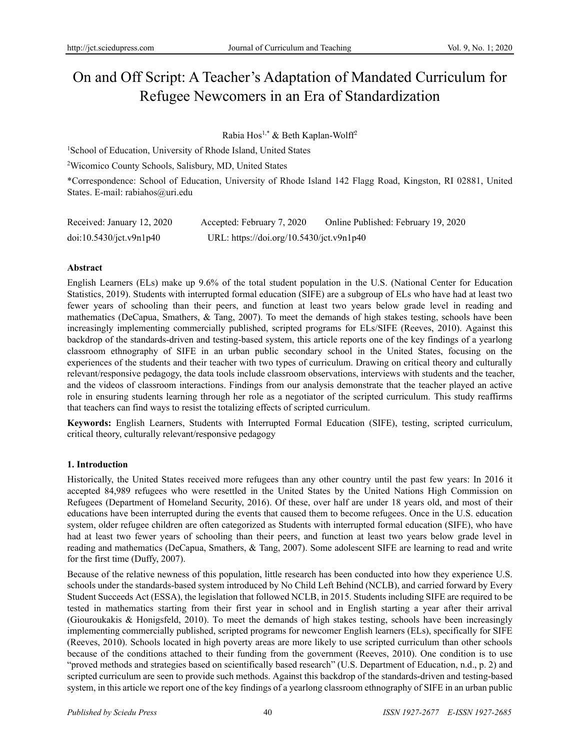# On and Off Script: A Teacher's Adaptation of Mandated Curriculum for Refugee Newcomers in an Era of Standardization

# Rabia Hos1,\* & Beth Kaplan-Wolff<sup>2</sup>

<sup>1</sup>School of Education, University of Rhode Island, United States

<sup>2</sup>Wicomico County Schools, Salisbury, MD, United States

\*Correspondence: School of Education, University of Rhode Island 142 Flagg Road, Kingston, RI 02881, United States. E-mail: rabiahos@uri.edu

| Received: January 12, 2020 | Accepted: February 7, 2020               | Online Published: February 19, 2020 |
|----------------------------|------------------------------------------|-------------------------------------|
| doi:10.5430/ict.v9n1p40    | URL: https://doi.org/10.5430/jct.v9n1p40 |                                     |

# **Abstract**

English Learners (ELs) make up 9.6% of the total student population in the U.S. (National Center for Education Statistics, 2019). Students with interrupted formal education (SIFE) are a subgroup of ELs who have had at least two fewer years of schooling than their peers, and function at least two years below grade level in reading and mathematics (DeCapua, Smathers, & Tang, 2007). To meet the demands of high stakes testing, schools have been increasingly implementing commercially published, scripted programs for ELs/SIFE (Reeves, 2010). Against this backdrop of the standards-driven and testing-based system, this article reports one of the key findings of a yearlong classroom ethnography of SIFE in an urban public secondary school in the United States, focusing on the experiences of the students and their teacher with two types of curriculum. Drawing on critical theory and culturally relevant/responsive pedagogy, the data tools include classroom observations, interviews with students and the teacher, and the videos of classroom interactions. Findings from our analysis demonstrate that the teacher played an active role in ensuring students learning through her role as a negotiator of the scripted curriculum. This study reaffirms that teachers can find ways to resist the totalizing effects of scripted curriculum.

**Keywords:** English Learners, Students with Interrupted Formal Education (SIFE), testing, scripted curriculum, critical theory, culturally relevant/responsive pedagogy

# **1. Introduction**

Historically, the United States received more refugees than any other country until the past few years: In 2016 it accepted 84,989 refugees who were resettled in the United States by the United Nations High Commission on Refugees (Department of Homeland Security, 2016). Of these, over half are under 18 years old, and most of their educations have been interrupted during the events that caused them to become refugees. Once in the U.S. education system, older refugee children are often categorized as Students with interrupted formal education (SIFE), who have had at least two fewer years of schooling than their peers, and function at least two years below grade level in reading and mathematics (DeCapua, Smathers, & Tang, 2007). Some adolescent SIFE are learning to read and write for the first time (Duffy, 2007).

Because of the relative newness of this population, little research has been conducted into how they experience U.S. schools under the standards-based system introduced by No Child Left Behind (NCLB), and carried forward by Every Student Succeeds Act (ESSA), the legislation that followed NCLB, in 2015. Students including SIFE are required to be tested in mathematics starting from their first year in school and in English starting a year after their arrival (Giouroukakis & Honigsfeld, 2010). To meet the demands of high stakes testing, schools have been increasingly implementing commercially published, scripted programs for newcomer English learners (ELs), specifically for SIFE (Reeves, 2010). Schools located in high poverty areas are more likely to use scripted curriculum than other schools because of the conditions attached to their funding from the government (Reeves, 2010). One condition is to use "proved methods and strategies based on scientifically based research" (U.S. Department of Education, n.d., p. 2) and scripted curriculum are seen to provide such methods. Against this backdrop of the standards-driven and testing-based system, in this article we report one of the key findings of a yearlong classroom ethnography of SIFE in an urban public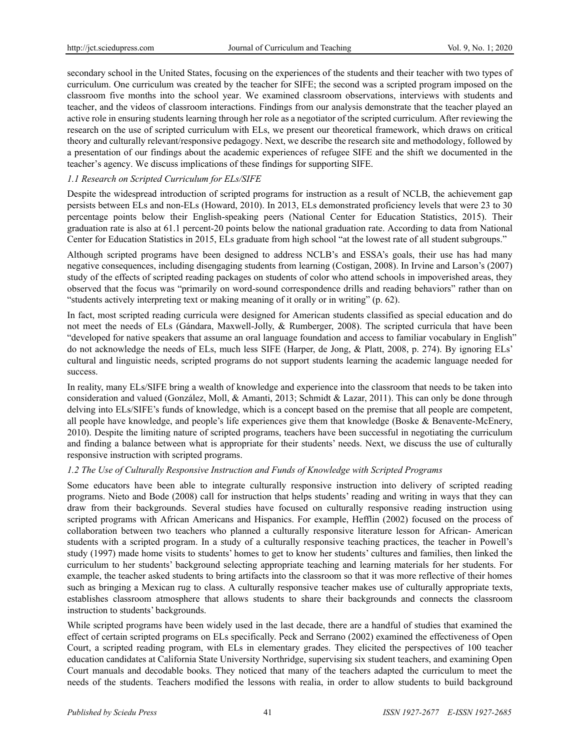secondary school in the United States, focusing on the experiences of the students and their teacher with two types of curriculum. One curriculum was created by the teacher for SIFE; the second was a scripted program imposed on the classroom five months into the school year. We examined classroom observations, interviews with students and teacher, and the videos of classroom interactions. Findings from our analysis demonstrate that the teacher played an active role in ensuring students learning through her role as a negotiator of the scripted curriculum. After reviewing the research on the use of scripted curriculum with ELs, we present our theoretical framework, which draws on critical theory and culturally relevant/responsive pedagogy. Next, we describe the research site and methodology, followed by a presentation of our findings about the academic experiences of refugee SIFE and the shift we documented in the teacher's agency. We discuss implications of these findings for supporting SIFE.

# *1.1 Research on Scripted Curriculum for ELs/SIFE*

Despite the widespread introduction of scripted programs for instruction as a result of NCLB, the achievement gap persists between ELs and non-ELs (Howard, 2010). In 2013, ELs demonstrated proficiency levels that were 23 to 30 percentage points below their English-speaking peers (National Center for Education Statistics, 2015). Their graduation rate is also at 61.1 percent-20 points below the national graduation rate. According to data from National Center for Education Statistics in 2015, ELs graduate from high school "at the lowest rate of all student subgroups."

Although scripted programs have been designed to address NCLB's and ESSA's goals, their use has had many negative consequences, including disengaging students from learning (Costigan, 2008). In Irvine and Larson's (2007) study of the effects of scripted reading packages on students of color who attend schools in impoverished areas, they observed that the focus was "primarily on word-sound correspondence drills and reading behaviors" rather than on "students actively interpreting text or making meaning of it orally or in writing" (p. 62).

In fact, most scripted reading curricula were designed for American students classified as special education and do not meet the needs of ELs (Gándara, Maxwell-Jolly, & Rumberger, 2008). The scripted curricula that have been "developed for native speakers that assume an oral language foundation and access to familiar vocabulary in English" do not acknowledge the needs of ELs, much less SIFE (Harper, de Jong, & Platt, 2008, p. 274). By ignoring ELs' cultural and linguistic needs, scripted programs do not support students learning the academic language needed for success.

In reality, many ELs/SIFE bring a wealth of knowledge and experience into the classroom that needs to be taken into consideration and valued (González, Moll, & Amanti, 2013; Schmidt & Lazar, 2011). This can only be done through delving into ELs/SIFE's funds of knowledge, which is a concept based on the premise that all people are competent, all people have knowledge, and people's life experiences give them that knowledge (Boske & Benavente-McEnery, 2010). Despite the limiting nature of scripted programs, teachers have been successful in negotiating the curriculum and finding a balance between what is appropriate for their students' needs. Next, we discuss the use of culturally responsive instruction with scripted programs.

# *1.2 The Use of Culturally Responsive Instruction and Funds of Knowledge with Scripted Programs*

Some educators have been able to integrate culturally responsive instruction into delivery of scripted reading programs. Nieto and Bode (2008) call for instruction that helps students' reading and writing in ways that they can draw from their backgrounds. Several studies have focused on culturally responsive reading instruction using scripted programs with African Americans and Hispanics. For example, Hefflin (2002) focused on the process of collaboration between two teachers who planned a culturally responsive literature lesson for African- American students with a scripted program. In a study of a culturally responsive teaching practices, the teacher in Powell's study (1997) made home visits to students' homes to get to know her students' cultures and families, then linked the curriculum to her students' background selecting appropriate teaching and learning materials for her students. For example, the teacher asked students to bring artifacts into the classroom so that it was more reflective of their homes such as bringing a Mexican rug to class. A culturally responsive teacher makes use of culturally appropriate texts, establishes classroom atmosphere that allows students to share their backgrounds and connects the classroom instruction to students' backgrounds.

While scripted programs have been widely used in the last decade, there are a handful of studies that examined the effect of certain scripted programs on ELs specifically. Peck and Serrano (2002) examined the effectiveness of Open Court, a scripted reading program, with ELs in elementary grades. They elicited the perspectives of 100 teacher education candidates at California State University Northridge, supervising six student teachers, and examining Open Court manuals and decodable books. They noticed that many of the teachers adapted the curriculum to meet the needs of the students. Teachers modified the lessons with realia, in order to allow students to build background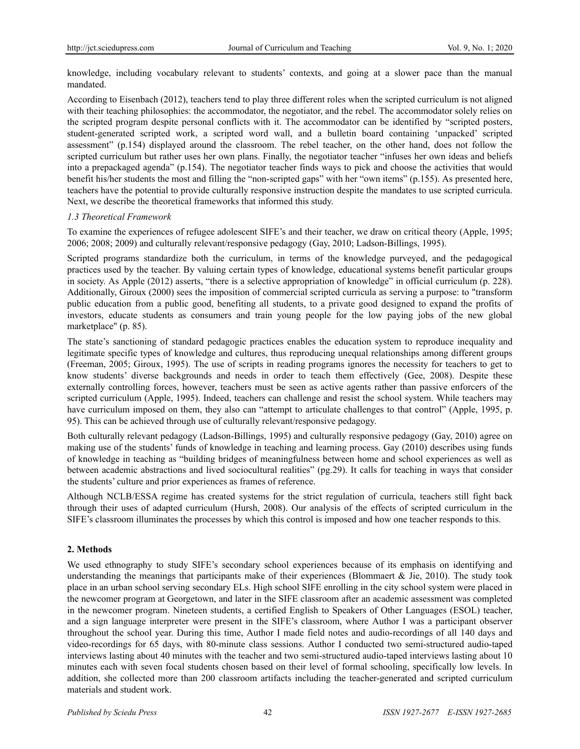knowledge, including vocabulary relevant to students' contexts, and going at a slower pace than the manual mandated.

According to Eisenbach (2012), teachers tend to play three different roles when the scripted curriculum is not aligned with their teaching philosophies: the accommodator, the negotiator, and the rebel. The accommodator solely relies on the scripted program despite personal conflicts with it. The accommodator can be identified by "scripted posters, student-generated scripted work, a scripted word wall, and a bulletin board containing 'unpacked' scripted assessment" (p.154) displayed around the classroom. The rebel teacher, on the other hand, does not follow the scripted curriculum but rather uses her own plans. Finally, the negotiator teacher "infuses her own ideas and beliefs into a prepackaged agenda" (p.154). The negotiator teacher finds ways to pick and choose the activities that would benefit his/her students the most and filling the "non-scripted gaps" with her "own items" (p.155). As presented here, teachers have the potential to provide culturally responsive instruction despite the mandates to use scripted curricula. Next, we describe the theoretical frameworks that informed this study.

## *1.3 Theoretical Framework*

To examine the experiences of refugee adolescent SIFE's and their teacher, we draw on critical theory (Apple, 1995; 2006; 2008; 2009) and culturally relevant/responsive pedagogy (Gay, 2010; Ladson-Billings, 1995).

Scripted programs standardize both the curriculum, in terms of the knowledge purveyed, and the pedagogical practices used by the teacher. By valuing certain types of knowledge, educational systems benefit particular groups in society. As Apple (2012) asserts, "there is a selective appropriation of knowledge" in official curriculum (p. 228). Additionally, Giroux (2000) sees the imposition of commercial scripted curricula as serving a purpose: to "transform public education from a public good, benefiting all students, to a private good designed to expand the profits of investors, educate students as consumers and train young people for the low paying jobs of the new global marketplace" (p. 85).

The state's sanctioning of standard pedagogic practices enables the education system to reproduce inequality and legitimate specific types of knowledge and cultures, thus reproducing unequal relationships among different groups (Freeman, 2005; Giroux, 1995). The use of scripts in reading programs ignores the necessity for teachers to get to know students' diverse backgrounds and needs in order to teach them effectively (Gee, 2008). Despite these externally controlling forces, however, teachers must be seen as active agents rather than passive enforcers of the scripted curriculum (Apple, 1995). Indeed, teachers can challenge and resist the school system. While teachers may have curriculum imposed on them, they also can "attempt to articulate challenges to that control" (Apple, 1995, p. 95). This can be achieved through use of culturally relevant/responsive pedagogy.

Both culturally relevant pedagogy (Ladson-Billings, 1995) and culturally responsive pedagogy (Gay, 2010) agree on making use of the students' funds of knowledge in teaching and learning process. Gay (2010) describes using funds of knowledge in teaching as "building bridges of meaningfulness between home and school experiences as well as between academic abstractions and lived sociocultural realities" (pg.29). It calls for teaching in ways that consider the students' culture and prior experiences as frames of reference.

Although NCLB/ESSA regime has created systems for the strict regulation of curricula, teachers still fight back through their uses of adapted curriculum (Hursh, 2008). Our analysis of the effects of scripted curriculum in the SIFE's classroom illuminates the processes by which this control is imposed and how one teacher responds to this.

# **2. Methods**

We used ethnography to study SIFE's secondary school experiences because of its emphasis on identifying and understanding the meanings that participants make of their experiences (Blommaert & Jie, 2010). The study took place in an urban school serving secondary ELs. High school SIFE enrolling in the city school system were placed in the newcomer program at Georgetown, and later in the SIFE classroom after an academic assessment was completed in the newcomer program. Nineteen students, a certified English to Speakers of Other Languages (ESOL) teacher, and a sign language interpreter were present in the SIFE's classroom, where Author I was a participant observer throughout the school year. During this time, Author I made field notes and audio-recordings of all 140 days and video-recordings for 65 days, with 80-minute class sessions. Author I conducted two semi-structured audio-taped interviews lasting about 40 minutes with the teacher and two semi-structured audio-taped interviews lasting about 10 minutes each with seven focal students chosen based on their level of formal schooling, specifically low levels. In addition, she collected more than 200 classroom artifacts including the teacher-generated and scripted curriculum materials and student work.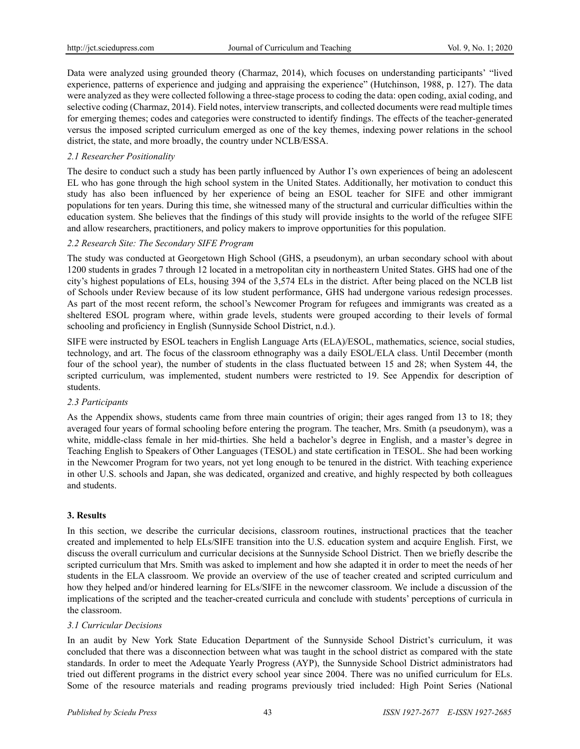Data were analyzed using grounded theory (Charmaz, 2014), which focuses on understanding participants' "lived experience, patterns of experience and judging and appraising the experience" (Hutchinson, 1988, p. 127). The data were analyzed as they were collected following a three-stage process to coding the data: open coding, axial coding, and selective coding (Charmaz, 2014). Field notes, interview transcripts, and collected documents were read multiple times for emerging themes; codes and categories were constructed to identify findings. The effects of the teacher-generated versus the imposed scripted curriculum emerged as one of the key themes, indexing power relations in the school district, the state, and more broadly, the country under NCLB/ESSA.

# *2.1 Researcher Positionality*

The desire to conduct such a study has been partly influenced by Author I's own experiences of being an adolescent EL who has gone through the high school system in the United States. Additionally, her motivation to conduct this study has also been influenced by her experience of being an ESOL teacher for SIFE and other immigrant populations for ten years. During this time, she witnessed many of the structural and curricular difficulties within the education system. She believes that the findings of this study will provide insights to the world of the refugee SIFE and allow researchers, practitioners, and policy makers to improve opportunities for this population.

# *2.2 Research Site: The Secondary SIFE Program*

The study was conducted at Georgetown High School (GHS, a pseudonym), an urban secondary school with about 1200 students in grades 7 through 12 located in a metropolitan city in northeastern United States. GHS had one of the city's highest populations of ELs, housing 394 of the 3,574 ELs in the district. After being placed on the NCLB list of Schools under Review because of its low student performance, GHS had undergone various redesign processes. As part of the most recent reform, the school's Newcomer Program for refugees and immigrants was created as a sheltered ESOL program where, within grade levels, students were grouped according to their levels of formal schooling and proficiency in English (Sunnyside School District, n.d.).

SIFE were instructed by ESOL teachers in English Language Arts (ELA)/ESOL, mathematics, science, social studies, technology, and art. The focus of the classroom ethnography was a daily ESOL/ELA class. Until December (month four of the school year), the number of students in the class fluctuated between 15 and 28; when System 44, the scripted curriculum, was implemented, student numbers were restricted to 19. See Appendix for description of students.

# *2.3 Participants*

As the Appendix shows, students came from three main countries of origin; their ages ranged from 13 to 18; they averaged four years of formal schooling before entering the program. The teacher, Mrs. Smith (a pseudonym), was a white, middle-class female in her mid-thirties. She held a bachelor's degree in English, and a master's degree in Teaching English to Speakers of Other Languages (TESOL) and state certification in TESOL. She had been working in the Newcomer Program for two years, not yet long enough to be tenured in the district. With teaching experience in other U.S. schools and Japan, she was dedicated, organized and creative, and highly respected by both colleagues and students.

# **3. Results**

In this section, we describe the curricular decisions, classroom routines, instructional practices that the teacher created and implemented to help ELs/SIFE transition into the U.S. education system and acquire English. First, we discuss the overall curriculum and curricular decisions at the Sunnyside School District. Then we briefly describe the scripted curriculum that Mrs. Smith was asked to implement and how she adapted it in order to meet the needs of her students in the ELA classroom. We provide an overview of the use of teacher created and scripted curriculum and how they helped and/or hindered learning for ELs/SIFE in the newcomer classroom. We include a discussion of the implications of the scripted and the teacher-created curricula and conclude with students' perceptions of curricula in the classroom.

# *3.1 Curricular Decisions*

In an audit by New York State Education Department of the Sunnyside School District's curriculum, it was concluded that there was a disconnection between what was taught in the school district as compared with the state standards. In order to meet the Adequate Yearly Progress (AYP), the Sunnyside School District administrators had tried out different programs in the district every school year since 2004. There was no unified curriculum for ELs. Some of the resource materials and reading programs previously tried included: High Point Series (National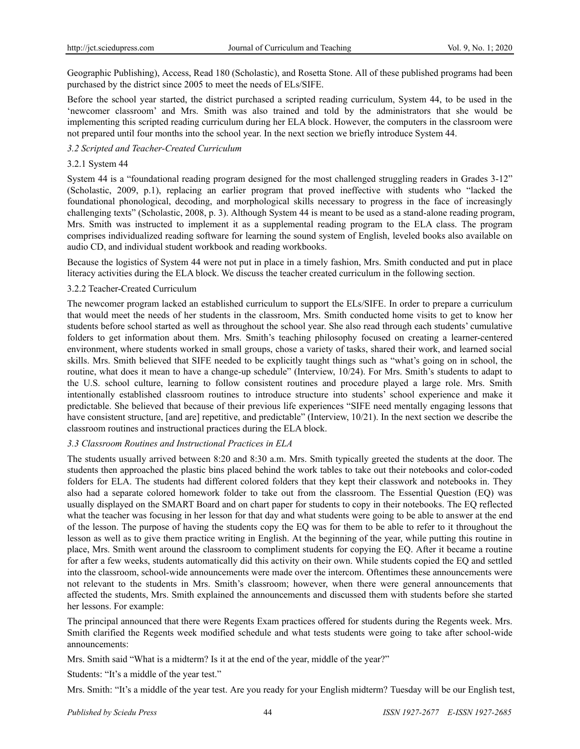Geographic Publishing), Access, Read 180 (Scholastic), and Rosetta Stone. All of these published programs had been purchased by the district since 2005 to meet the needs of ELs/SIFE.

Before the school year started, the district purchased a scripted reading curriculum, System 44, to be used in the 'newcomer classroom' and Mrs. Smith was also trained and told by the administrators that she would be implementing this scripted reading curriculum during her ELA block. However, the computers in the classroom were not prepared until four months into the school year. In the next section we briefly introduce System 44.

# *3.2 Scripted and Teacher-Created Curriculum*

## 3.2.1 System 44

System 44 is a "foundational reading program designed for the most challenged struggling readers in Grades 3-12" (Scholastic, 2009, p.1), replacing an earlier program that proved ineffective with students who "lacked the foundational phonological, decoding, and morphological skills necessary to progress in the face of increasingly challenging texts" (Scholastic, 2008, p. 3). Although System 44 is meant to be used as a stand-alone reading program, Mrs. Smith was instructed to implement it as a supplemental reading program to the ELA class. The program comprises individualized reading software for learning the sound system of English, leveled books also available on audio CD, and individual student workbook and reading workbooks.

Because the logistics of System 44 were not put in place in a timely fashion, Mrs. Smith conducted and put in place literacy activities during the ELA block. We discuss the teacher created curriculum in the following section.

## 3.2.2 Teacher-Created Curriculum

The newcomer program lacked an established curriculum to support the ELs/SIFE. In order to prepare a curriculum that would meet the needs of her students in the classroom, Mrs. Smith conducted home visits to get to know her students before school started as well as throughout the school year. She also read through each students' cumulative folders to get information about them. Mrs. Smith's teaching philosophy focused on creating a learner-centered environment, where students worked in small groups, chose a variety of tasks, shared their work, and learned social skills. Mrs. Smith believed that SIFE needed to be explicitly taught things such as "what's going on in school, the routine, what does it mean to have a change-up schedule" (Interview, 10/24). For Mrs. Smith's students to adapt to the U.S. school culture, learning to follow consistent routines and procedure played a large role. Mrs. Smith intentionally established classroom routines to introduce structure into students' school experience and make it predictable. She believed that because of their previous life experiences "SIFE need mentally engaging lessons that have consistent structure, [and are] repetitive, and predictable" (Interview, 10/21). In the next section we describe the classroom routines and instructional practices during the ELA block.

# *3.3 Classroom Routines and Instructional Practices in ELA*

The students usually arrived between 8:20 and 8:30 a.m. Mrs. Smith typically greeted the students at the door. The students then approached the plastic bins placed behind the work tables to take out their notebooks and color-coded folders for ELA. The students had different colored folders that they kept their classwork and notebooks in. They also had a separate colored homework folder to take out from the classroom. The Essential Question (EQ) was usually displayed on the SMART Board and on chart paper for students to copy in their notebooks. The EQ reflected what the teacher was focusing in her lesson for that day and what students were going to be able to answer at the end of the lesson. The purpose of having the students copy the EQ was for them to be able to refer to it throughout the lesson as well as to give them practice writing in English. At the beginning of the year, while putting this routine in place, Mrs. Smith went around the classroom to compliment students for copying the EQ. After it became a routine for after a few weeks, students automatically did this activity on their own. While students copied the EQ and settled into the classroom, school-wide announcements were made over the intercom. Oftentimes these announcements were not relevant to the students in Mrs. Smith's classroom; however, when there were general announcements that affected the students, Mrs. Smith explained the announcements and discussed them with students before she started her lessons. For example:

The principal announced that there were Regents Exam practices offered for students during the Regents week. Mrs. Smith clarified the Regents week modified schedule and what tests students were going to take after school-wide announcements:

Mrs. Smith said "What is a midterm? Is it at the end of the year, middle of the year?"

Students: "It's a middle of the year test."

Mrs. Smith: "It's a middle of the year test. Are you ready for your English midterm? Tuesday will be our English test,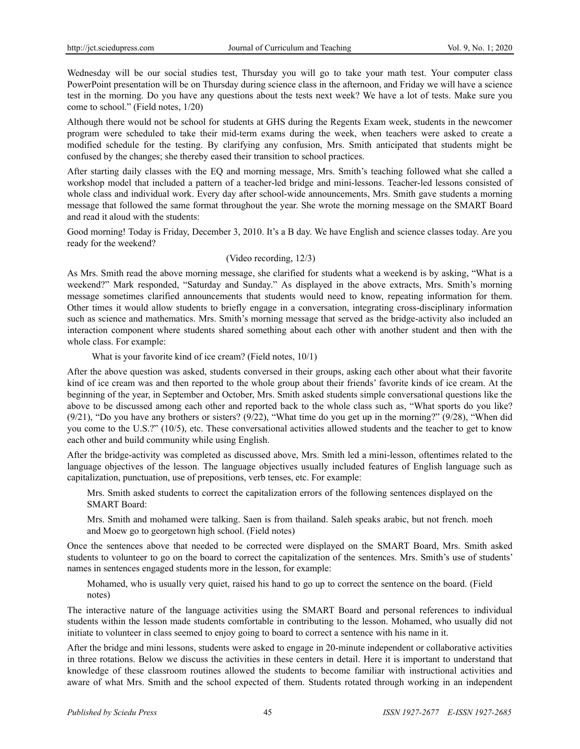Wednesday will be our social studies test, Thursday you will go to take your math test. Your computer class PowerPoint presentation will be on Thursday during science class in the afternoon, and Friday we will have a science test in the morning. Do you have any questions about the tests next week? We have a lot of tests. Make sure you come to school." (Field notes, 1/20)

Although there would not be school for students at GHS during the Regents Exam week, students in the newcomer program were scheduled to take their mid-term exams during the week, when teachers were asked to create a modified schedule for the testing. By clarifying any confusion, Mrs. Smith anticipated that students might be confused by the changes; she thereby eased their transition to school practices.

After starting daily classes with the EQ and morning message, Mrs. Smith's teaching followed what she called a workshop model that included a pattern of a teacher-led bridge and mini-lessons. Teacher-led lessons consisted of whole class and individual work. Every day after school-wide announcements, Mrs. Smith gave students a morning message that followed the same format throughout the year. She wrote the morning message on the SMART Board and read it aloud with the students:

Good morning! Today is Friday, December 3, 2010. It's a B day. We have English and science classes today. Are you ready for the weekend?

## (Video recording, 12/3)

As Mrs. Smith read the above morning message, she clarified for students what a weekend is by asking, "What is a weekend?" Mark responded, "Saturday and Sunday." As displayed in the above extracts, Mrs. Smith's morning message sometimes clarified announcements that students would need to know, repeating information for them. Other times it would allow students to briefly engage in a conversation, integrating cross-disciplinary information such as science and mathematics. Mrs. Smith's morning message that served as the bridge-activity also included an interaction component where students shared something about each other with another student and then with the whole class. For example:

#### What is your favorite kind of ice cream? (Field notes, 10/1)

After the above question was asked, students conversed in their groups, asking each other about what their favorite kind of ice cream was and then reported to the whole group about their friends' favorite kinds of ice cream. At the beginning of the year, in September and October, Mrs. Smith asked students simple conversational questions like the above to be discussed among each other and reported back to the whole class such as, "What sports do you like? (9/21), "Do you have any brothers or sisters? (9/22), "What time do you get up in the morning?" (9/28), "When did you come to the U.S.?" (10/5), etc. These conversational activities allowed students and the teacher to get to know each other and build community while using English.

After the bridge-activity was completed as discussed above, Mrs. Smith led a mini-lesson, oftentimes related to the language objectives of the lesson. The language objectives usually included features of English language such as capitalization, punctuation, use of prepositions, verb tenses, etc. For example:

Mrs. Smith asked students to correct the capitalization errors of the following sentences displayed on the SMART Board:

Mrs. Smith and mohamed were talking. Saen is from thailand. Saleh speaks arabic, but not french. moeh and Moew go to georgetown high school. (Field notes)

Once the sentences above that needed to be corrected were displayed on the SMART Board, Mrs. Smith asked students to volunteer to go on the board to correct the capitalization of the sentences. Mrs. Smith's use of students' names in sentences engaged students more in the lesson, for example:

Mohamed, who is usually very quiet, raised his hand to go up to correct the sentence on the board. (Field notes)

The interactive nature of the language activities using the SMART Board and personal references to individual students within the lesson made students comfortable in contributing to the lesson. Mohamed, who usually did not initiate to volunteer in class seemed to enjoy going to board to correct a sentence with his name in it.

After the bridge and mini lessons, students were asked to engage in 20-minute independent or collaborative activities in three rotations. Below we discuss the activities in these centers in detail. Here it is important to understand that knowledge of these classroom routines allowed the students to become familiar with instructional activities and aware of what Mrs. Smith and the school expected of them. Students rotated through working in an independent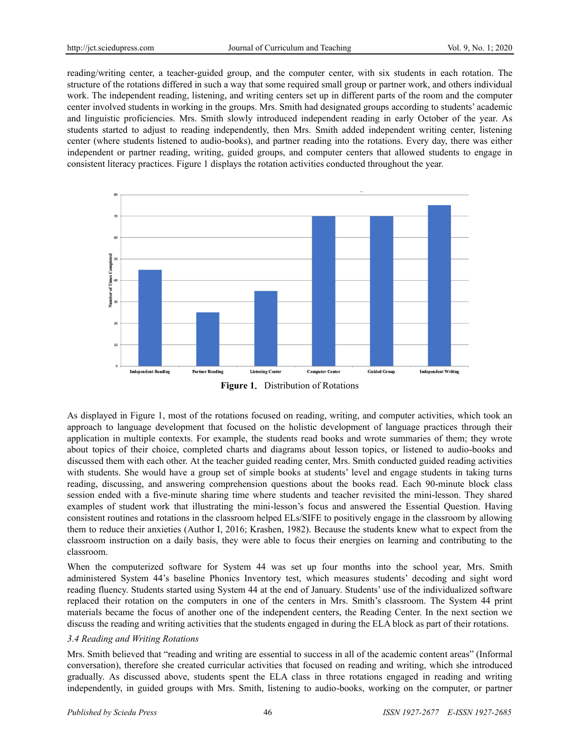reading/writing center, a teacher-guided group, and the computer center, with six students in each rotation. The structure of the rotations differed in such a way that some required small group or partner work, and others individual work. The independent reading, listening, and writing centers set up in different parts of the room and the computer center involved students in working in the groups. Mrs. Smith had designated groups according to students' academic and linguistic proficiencies. Mrs. Smith slowly introduced independent reading in early October of the year. As students started to adjust to reading independently, then Mrs. Smith added independent writing center, listening center (where students listened to audio-books), and partner reading into the rotations. Every day, there was either independent or partner reading, writing, guided groups, and computer centers that allowed students to engage in consistent literacy practices. Figure 1 displays the rotation activities conducted throughout the year.



**Figure 1**. Distribution of Rotations

As displayed in Figure 1, most of the rotations focused on reading, writing, and computer activities, which took an approach to language development that focused on the holistic development of language practices through their application in multiple contexts. For example, the students read books and wrote summaries of them; they wrote about topics of their choice, completed charts and diagrams about lesson topics, or listened to audio-books and discussed them with each other. At the teacher guided reading center, Mrs. Smith conducted guided reading activities with students. She would have a group set of simple books at students' level and engage students in taking turns reading, discussing, and answering comprehension questions about the books read. Each 90-minute block class session ended with a five-minute sharing time where students and teacher revisited the mini-lesson. They shared examples of student work that illustrating the mini-lesson's focus and answered the Essential Question. Having consistent routines and rotations in the classroom helped ELs/SIFE to positively engage in the classroom by allowing them to reduce their anxieties (Author I, 2016; Krashen, 1982). Because the students knew what to expect from the classroom instruction on a daily basis, they were able to focus their energies on learning and contributing to the classroom.

When the computerized software for System 44 was set up four months into the school year, Mrs. Smith administered System 44's baseline Phonics Inventory test, which measures students' decoding and sight word reading fluency. Students started using System 44 at the end of January. Students' use of the individualized software replaced their rotation on the computers in one of the centers in Mrs. Smith's classroom. The System 44 print materials became the focus of another one of the independent centers, the Reading Center. In the next section we discuss the reading and writing activities that the students engaged in during the ELA block as part of their rotations.

## *3.4 Reading and Writing Rotations*

Mrs. Smith believed that "reading and writing are essential to success in all of the academic content areas" (Informal conversation), therefore she created curricular activities that focused on reading and writing, which she introduced gradually. As discussed above, students spent the ELA class in three rotations engaged in reading and writing independently, in guided groups with Mrs. Smith, listening to audio-books, working on the computer, or partner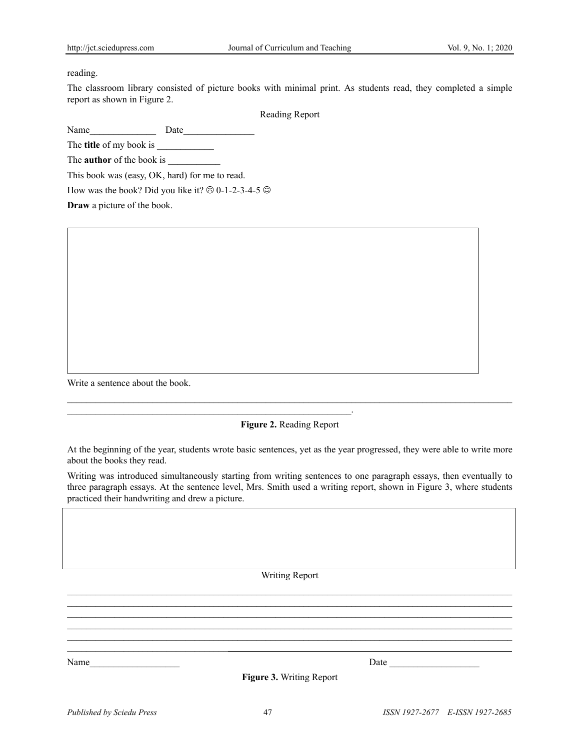reading.

The classroom library consisted of picture books with minimal print. As students read, they completed a simple report as shown in Figure 2.

Reading Report

Name\_\_\_\_\_\_\_\_\_\_\_\_\_\_ Date\_\_\_\_\_\_\_\_\_\_\_\_\_\_\_

The **title** of my book is \_\_\_\_\_\_\_\_\_\_\_\_

The **author** of the book is

This book was (easy, OK, hard) for me to read.

How was the book? Did you like it?  $\odot$  0-1-2-3-4-5  $\odot$ 

**Draw** a picture of the book.

Write a sentence about the book.

# **Figure 2.** Reading Report

\_\_\_\_\_\_\_\_\_\_\_\_\_\_\_\_\_\_\_\_\_\_\_\_\_\_\_\_\_\_\_\_\_\_\_\_\_\_\_\_\_\_\_\_\_\_\_\_\_\_\_\_\_\_\_\_\_\_\_\_\_\_\_\_\_\_\_\_\_\_\_\_\_\_\_\_\_\_\_\_\_\_\_\_\_\_\_\_\_\_\_\_\_\_

\_\_\_\_\_\_\_\_\_\_\_\_\_\_\_\_\_\_\_\_\_\_\_\_\_\_\_\_\_\_\_\_\_\_\_\_\_\_\_\_\_\_\_\_\_\_\_\_\_\_\_\_\_\_\_\_\_\_\_\_.

Figure 2. Reading Report

At the beginning of the year, students wrote basic sentences, yet as the year progressed, they were able to write more about the books they read.

Writing was introduced simultaneously starting from writing sentences to one paragraph essays, then eventually to three paragraph essays. At the sentence level, Mrs. Smith used a writing report, shown in Figure 3, where students practiced their handwriting and drew a picture.

Writing Report  $\mathcal{L}_\mathcal{L} = \{ \mathcal{L}_\mathcal{L} = \{ \mathcal{L}_\mathcal{L} = \{ \mathcal{L}_\mathcal{L} = \{ \mathcal{L}_\mathcal{L} = \{ \mathcal{L}_\mathcal{L} = \{ \mathcal{L}_\mathcal{L} = \{ \mathcal{L}_\mathcal{L} = \{ \mathcal{L}_\mathcal{L} = \{ \mathcal{L}_\mathcal{L} = \{ \mathcal{L}_\mathcal{L} = \{ \mathcal{L}_\mathcal{L} = \{ \mathcal{L}_\mathcal{L} = \{ \mathcal{L}_\mathcal{L} = \{ \mathcal{L}_\mathcal{$ 

 $\mathcal{L}_\mathcal{L} = \{ \mathcal{L}_\mathcal{L} = \{ \mathcal{L}_\mathcal{L} = \{ \mathcal{L}_\mathcal{L} = \{ \mathcal{L}_\mathcal{L} = \{ \mathcal{L}_\mathcal{L} = \{ \mathcal{L}_\mathcal{L} = \{ \mathcal{L}_\mathcal{L} = \{ \mathcal{L}_\mathcal{L} = \{ \mathcal{L}_\mathcal{L} = \{ \mathcal{L}_\mathcal{L} = \{ \mathcal{L}_\mathcal{L} = \{ \mathcal{L}_\mathcal{L} = \{ \mathcal{L}_\mathcal{L} = \{ \mathcal{L}_\mathcal{$  $\mathcal{L}_\mathcal{L} = \{ \mathcal{L}_\mathcal{L} = \{ \mathcal{L}_\mathcal{L} = \{ \mathcal{L}_\mathcal{L} = \{ \mathcal{L}_\mathcal{L} = \{ \mathcal{L}_\mathcal{L} = \{ \mathcal{L}_\mathcal{L} = \{ \mathcal{L}_\mathcal{L} = \{ \mathcal{L}_\mathcal{L} = \{ \mathcal{L}_\mathcal{L} = \{ \mathcal{L}_\mathcal{L} = \{ \mathcal{L}_\mathcal{L} = \{ \mathcal{L}_\mathcal{L} = \{ \mathcal{L}_\mathcal{L} = \{ \mathcal{L}_\mathcal{$  $\mathcal{L}_\mathcal{L} = \{ \mathcal{L}_\mathcal{L} = \{ \mathcal{L}_\mathcal{L} = \{ \mathcal{L}_\mathcal{L} = \{ \mathcal{L}_\mathcal{L} = \{ \mathcal{L}_\mathcal{L} = \{ \mathcal{L}_\mathcal{L} = \{ \mathcal{L}_\mathcal{L} = \{ \mathcal{L}_\mathcal{L} = \{ \mathcal{L}_\mathcal{L} = \{ \mathcal{L}_\mathcal{L} = \{ \mathcal{L}_\mathcal{L} = \{ \mathcal{L}_\mathcal{L} = \{ \mathcal{L}_\mathcal{L} = \{ \mathcal{L}_\mathcal{$  $\mathcal{L}_\mathcal{L} = \{ \mathcal{L}_\mathcal{L} = \{ \mathcal{L}_\mathcal{L} = \{ \mathcal{L}_\mathcal{L} = \{ \mathcal{L}_\mathcal{L} = \{ \mathcal{L}_\mathcal{L} = \{ \mathcal{L}_\mathcal{L} = \{ \mathcal{L}_\mathcal{L} = \{ \mathcal{L}_\mathcal{L} = \{ \mathcal{L}_\mathcal{L} = \{ \mathcal{L}_\mathcal{L} = \{ \mathcal{L}_\mathcal{L} = \{ \mathcal{L}_\mathcal{L} = \{ \mathcal{L}_\mathcal{L} = \{ \mathcal{L}_\mathcal{$ 

Name Date Date  $\Box$ 

**Figure 3.** Writing Report

\_\_\_\_\_\_\_\_\_\_\_\_\_\_\_\_\_\_\_\_\_\_\_\_\_\_\_\_\_\_\_\_\_\_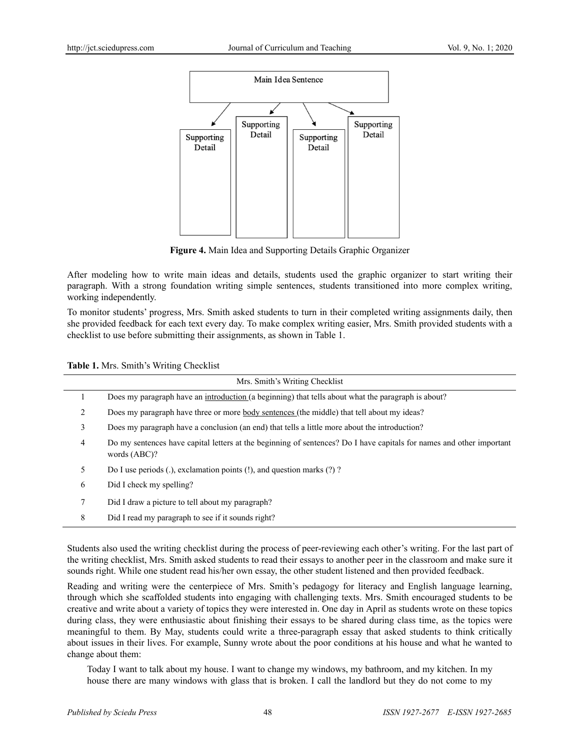

**Figure 4.** Main Idea and Supporting Details Graphic Organizer

After modeling how to write main ideas and details, students used the graphic organizer to start writing their paragraph. With a strong foundation writing simple sentences, students transitioned into more complex writing, working independently.

To monitor students' progress, Mrs. Smith asked students to turn in their completed writing assignments daily, then she provided feedback for each text every day. To make complex writing easier, Mrs. Smith provided students with a checklist to use before submitting their assignments, as shown in Table 1.

|  |  |  |  | Table 1. Mrs. Smith's Writing Checklist |
|--|--|--|--|-----------------------------------------|
|--|--|--|--|-----------------------------------------|

| Mrs. Smith's Writing Checklist |                |                                                                                                                                         |  |  |  |  |
|--------------------------------|----------------|-----------------------------------------------------------------------------------------------------------------------------------------|--|--|--|--|
|                                |                | Does my paragraph have an introduction (a beginning) that tells about what the paragraph is about?                                      |  |  |  |  |
|                                | 2              | Does my paragraph have three or more body sentences (the middle) that tell about my ideas?                                              |  |  |  |  |
|                                | 3              | Does my paragraph have a conclusion (an end) that tells a little more about the introduction?                                           |  |  |  |  |
|                                | $\overline{4}$ | Do my sentences have capital letters at the beginning of sentences? Do I have capitals for names and other important<br>words $(ABC)$ ? |  |  |  |  |
|                                | 5              | Do I use periods (.), exclamation points $(!)$ , and question marks $(?)$ ?                                                             |  |  |  |  |
|                                | 6              | Did I check my spelling?                                                                                                                |  |  |  |  |
|                                | $\tau$         | Did I draw a picture to tell about my paragraph?                                                                                        |  |  |  |  |
|                                | 8              | Did I read my paragraph to see if it sounds right?                                                                                      |  |  |  |  |

Students also used the writing checklist during the process of peer-reviewing each other's writing. For the last part of the writing checklist, Mrs. Smith asked students to read their essays to another peer in the classroom and make sure it sounds right. While one student read his/her own essay, the other student listened and then provided feedback.

Reading and writing were the centerpiece of Mrs. Smith's pedagogy for literacy and English language learning, through which she scaffolded students into engaging with challenging texts. Mrs. Smith encouraged students to be creative and write about a variety of topics they were interested in. One day in April as students wrote on these topics during class, they were enthusiastic about finishing their essays to be shared during class time, as the topics were meaningful to them. By May, students could write a three-paragraph essay that asked students to think critically about issues in their lives. For example, Sunny wrote about the poor conditions at his house and what he wanted to change about them:

Today I want to talk about my house. I want to change my windows, my bathroom, and my kitchen. In my house there are many windows with glass that is broken. I call the landlord but they do not come to my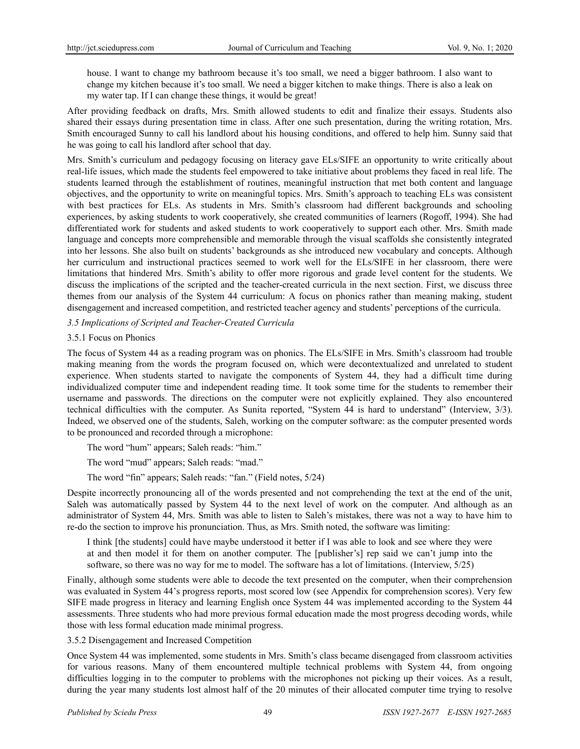house. I want to change my bathroom because it's too small, we need a bigger bathroom. I also want to change my kitchen because it's too small. We need a bigger kitchen to make things. There is also a leak on my water tap. If I can change these things, it would be great!

After providing feedback on drafts, Mrs. Smith allowed students to edit and finalize their essays. Students also shared their essays during presentation time in class. After one such presentation, during the writing rotation, Mrs. Smith encouraged Sunny to call his landlord about his housing conditions, and offered to help him. Sunny said that he was going to call his landlord after school that day.

Mrs. Smith's curriculum and pedagogy focusing on literacy gave ELs/SIFE an opportunity to write critically about real-life issues, which made the students feel empowered to take initiative about problems they faced in real life. The students learned through the establishment of routines, meaningful instruction that met both content and language objectives, and the opportunity to write on meaningful topics. Mrs. Smith's approach to teaching ELs was consistent with best practices for ELs. As students in Mrs. Smith's classroom had different backgrounds and schooling experiences, by asking students to work cooperatively, she created communities of learners (Rogoff, 1994). She had differentiated work for students and asked students to work cooperatively to support each other. Mrs. Smith made language and concepts more comprehensible and memorable through the visual scaffolds she consistently integrated into her lessons. She also built on students' backgrounds as she introduced new vocabulary and concepts. Although her curriculum and instructional practices seemed to work well for the ELs/SIFE in her classroom, there were limitations that hindered Mrs. Smith's ability to offer more rigorous and grade level content for the students. We discuss the implications of the scripted and the teacher-created curricula in the next section. First, we discuss three themes from our analysis of the System 44 curriculum: A focus on phonics rather than meaning making, student disengagement and increased competition, and restricted teacher agency and students' perceptions of the curricula.

## *3.5 Implications of Scripted and Teacher-Created Curricula*

## 3.5.1 Focus on Phonics

The focus of System 44 as a reading program was on phonics. The ELs/SIFE in Mrs. Smith's classroom had trouble making meaning from the words the program focused on, which were decontextualized and unrelated to student experience. When students started to navigate the components of System 44, they had a difficult time during individualized computer time and independent reading time. It took some time for the students to remember their username and passwords. The directions on the computer were not explicitly explained. They also encountered technical difficulties with the computer. As Sunita reported, "System 44 is hard to understand" (Interview, 3/3). Indeed, we observed one of the students, Saleh, working on the computer software: as the computer presented words to be pronounced and recorded through a microphone:

The word "hum" appears; Saleh reads: "him."

The word "mud" appears; Saleh reads: "mad."

The word "fin" appears; Saleh reads: "fan." (Field notes, 5/24)

Despite incorrectly pronouncing all of the words presented and not comprehending the text at the end of the unit, Saleh was automatically passed by System 44 to the next level of work on the computer. And although as an administrator of System 44, Mrs. Smith was able to listen to Saleh's mistakes, there was not a way to have him to re-do the section to improve his pronunciation. Thus, as Mrs. Smith noted, the software was limiting:

I think [the students] could have maybe understood it better if I was able to look and see where they were at and then model it for them on another computer. The [publisher's] rep said we can't jump into the software, so there was no way for me to model. The software has a lot of limitations. (Interview, 5/25)

Finally, although some students were able to decode the text presented on the computer, when their comprehension was evaluated in System 44's progress reports, most scored low (see Appendix for comprehension scores). Very few SIFE made progress in literacy and learning English once System 44 was implemented according to the System 44 assessments. Three students who had more previous formal education made the most progress decoding words, while those with less formal education made minimal progress.

3.5.2 Disengagement and Increased Competition

Once System 44 was implemented, some students in Mrs. Smith's class became disengaged from classroom activities for various reasons. Many of them encountered multiple technical problems with System 44, from ongoing difficulties logging in to the computer to problems with the microphones not picking up their voices. As a result, during the year many students lost almost half of the 20 minutes of their allocated computer time trying to resolve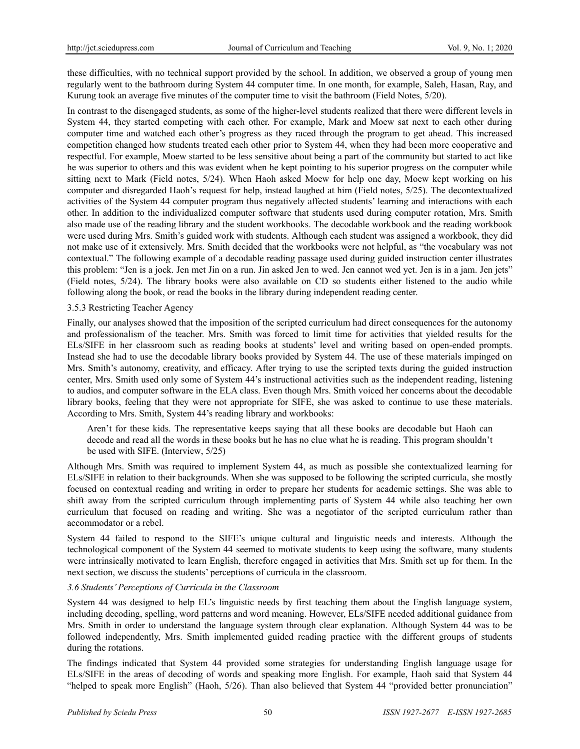these difficulties, with no technical support provided by the school. In addition, we observed a group of young men regularly went to the bathroom during System 44 computer time. In one month, for example, Saleh, Hasan, Ray, and Kurung took an average five minutes of the computer time to visit the bathroom (Field Notes, 5/20).

In contrast to the disengaged students, as some of the higher-level students realized that there were different levels in System 44, they started competing with each other. For example, Mark and Moew sat next to each other during computer time and watched each other's progress as they raced through the program to get ahead. This increased competition changed how students treated each other prior to System 44, when they had been more cooperative and respectful. For example, Moew started to be less sensitive about being a part of the community but started to act like he was superior to others and this was evident when he kept pointing to his superior progress on the computer while sitting next to Mark (Field notes, 5/24). When Haoh asked Moew for help one day, Moew kept working on his computer and disregarded Haoh's request for help, instead laughed at him (Field notes, 5/25). The decontextualized activities of the System 44 computer program thus negatively affected students' learning and interactions with each other. In addition to the individualized computer software that students used during computer rotation, Mrs. Smith also made use of the reading library and the student workbooks. The decodable workbook and the reading workbook were used during Mrs. Smith's guided work with students. Although each student was assigned a workbook, they did not make use of it extensively. Mrs. Smith decided that the workbooks were not helpful, as "the vocabulary was not contextual." The following example of a decodable reading passage used during guided instruction center illustrates this problem: "Jen is a jock. Jen met Jin on a run. Jin asked Jen to wed. Jen cannot wed yet. Jen is in a jam. Jen jets" (Field notes, 5/24). The library books were also available on CD so students either listened to the audio while following along the book, or read the books in the library during independent reading center.

#### 3.5.3 Restricting Teacher Agency

Finally, our analyses showed that the imposition of the scripted curriculum had direct consequences for the autonomy and professionalism of the teacher. Mrs. Smith was forced to limit time for activities that yielded results for the ELs/SIFE in her classroom such as reading books at students' level and writing based on open-ended prompts. Instead she had to use the decodable library books provided by System 44. The use of these materials impinged on Mrs. Smith's autonomy, creativity, and efficacy. After trying to use the scripted texts during the guided instruction center, Mrs. Smith used only some of System 44's instructional activities such as the independent reading, listening to audios, and computer software in the ELA class. Even though Mrs. Smith voiced her concerns about the decodable library books, feeling that they were not appropriate for SIFE, she was asked to continue to use these materials. According to Mrs. Smith, System 44's reading library and workbooks:

Aren't for these kids. The representative keeps saying that all these books are decodable but Haoh can decode and read all the words in these books but he has no clue what he is reading. This program shouldn't be used with SIFE. (Interview, 5/25)

Although Mrs. Smith was required to implement System 44, as much as possible she contextualized learning for ELs/SIFE in relation to their backgrounds. When she was supposed to be following the scripted curricula, she mostly focused on contextual reading and writing in order to prepare her students for academic settings. She was able to shift away from the scripted curriculum through implementing parts of System 44 while also teaching her own curriculum that focused on reading and writing. She was a negotiator of the scripted curriculum rather than accommodator or a rebel.

System 44 failed to respond to the SIFE's unique cultural and linguistic needs and interests. Although the technological component of the System 44 seemed to motivate students to keep using the software, many students were intrinsically motivated to learn English, therefore engaged in activities that Mrs. Smith set up for them. In the next section, we discuss the students' perceptions of curricula in the classroom.

## *3.6 Students' Perceptions of Curricula in the Classroom*

System 44 was designed to help EL's linguistic needs by first teaching them about the English language system, including decoding, spelling, word patterns and word meaning. However, ELs/SIFE needed additional guidance from Mrs. Smith in order to understand the language system through clear explanation. Although System 44 was to be followed independently, Mrs. Smith implemented guided reading practice with the different groups of students during the rotations.

The findings indicated that System 44 provided some strategies for understanding English language usage for ELs/SIFE in the areas of decoding of words and speaking more English. For example, Haoh said that System 44 "helped to speak more English" (Haoh, 5/26). Than also believed that System 44 "provided better pronunciation"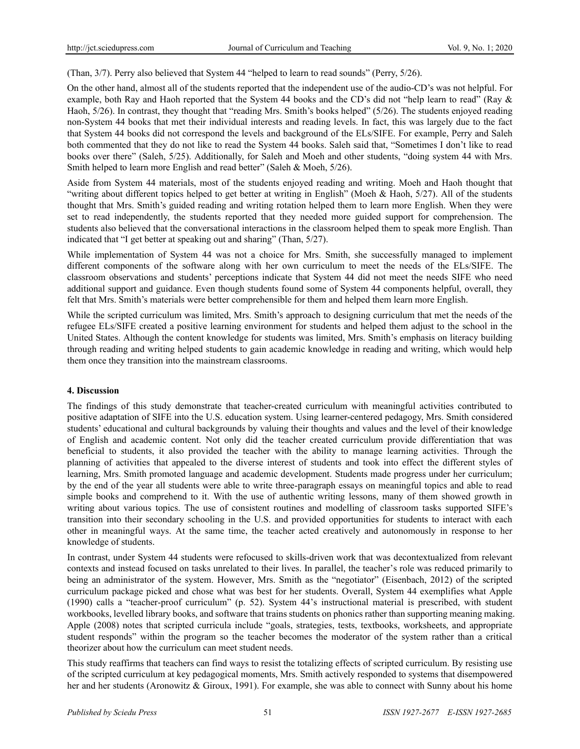(Than, 3/7). Perry also believed that System 44 "helped to learn to read sounds" (Perry, 5/26).

On the other hand, almost all of the students reported that the independent use of the audio-CD's was not helpful. For example, both Ray and Haoh reported that the System 44 books and the CD's did not "help learn to read" (Ray & Haoh, 5/26). In contrast, they thought that "reading Mrs. Smith's books helped" (5/26). The students enjoyed reading non-System 44 books that met their individual interests and reading levels. In fact, this was largely due to the fact that System 44 books did not correspond the levels and background of the ELs/SIFE. For example, Perry and Saleh both commented that they do not like to read the System 44 books. Saleh said that, "Sometimes I don't like to read books over there" (Saleh, 5/25). Additionally, for Saleh and Moeh and other students, "doing system 44 with Mrs. Smith helped to learn more English and read better" (Saleh & Moeh, 5/26).

Aside from System 44 materials, most of the students enjoyed reading and writing. Moeh and Haoh thought that "writing about different topics helped to get better at writing in English" (Moeh & Haoh, 5/27). All of the students thought that Mrs. Smith's guided reading and writing rotation helped them to learn more English. When they were set to read independently, the students reported that they needed more guided support for comprehension. The students also believed that the conversational interactions in the classroom helped them to speak more English. Than indicated that "I get better at speaking out and sharing" (Than, 5/27).

While implementation of System 44 was not a choice for Mrs. Smith, she successfully managed to implement different components of the software along with her own curriculum to meet the needs of the ELs/SIFE. The classroom observations and students' perceptions indicate that System 44 did not meet the needs SIFE who need additional support and guidance. Even though students found some of System 44 components helpful, overall, they felt that Mrs. Smith's materials were better comprehensible for them and helped them learn more English.

While the scripted curriculum was limited, Mrs. Smith's approach to designing curriculum that met the needs of the refugee ELs/SIFE created a positive learning environment for students and helped them adjust to the school in the United States. Although the content knowledge for students was limited, Mrs. Smith's emphasis on literacy building through reading and writing helped students to gain academic knowledge in reading and writing, which would help them once they transition into the mainstream classrooms.

# **4. Discussion**

The findings of this study demonstrate that teacher-created curriculum with meaningful activities contributed to positive adaptation of SIFE into the U.S. education system. Using learner-centered pedagogy, Mrs. Smith considered students' educational and cultural backgrounds by valuing their thoughts and values and the level of their knowledge of English and academic content. Not only did the teacher created curriculum provide differentiation that was beneficial to students, it also provided the teacher with the ability to manage learning activities. Through the planning of activities that appealed to the diverse interest of students and took into effect the different styles of learning, Mrs. Smith promoted language and academic development. Students made progress under her curriculum; by the end of the year all students were able to write three-paragraph essays on meaningful topics and able to read simple books and comprehend to it. With the use of authentic writing lessons, many of them showed growth in writing about various topics. The use of consistent routines and modelling of classroom tasks supported SIFE's transition into their secondary schooling in the U.S. and provided opportunities for students to interact with each other in meaningful ways. At the same time, the teacher acted creatively and autonomously in response to her knowledge of students.

In contrast, under System 44 students were refocused to skills-driven work that was decontextualized from relevant contexts and instead focused on tasks unrelated to their lives. In parallel, the teacher's role was reduced primarily to being an administrator of the system. However, Mrs. Smith as the "negotiator" (Eisenbach, 2012) of the scripted curriculum package picked and chose what was best for her students. Overall, System 44 exemplifies what Apple (1990) calls a "teacher-proof curriculum" (p. 52). System 44's instructional material is prescribed, with student workbooks, levelled library books, and software that trains students on phonics rather than supporting meaning making. Apple (2008) notes that scripted curricula include "goals, strategies, tests, textbooks, worksheets, and appropriate student responds" within the program so the teacher becomes the moderator of the system rather than a critical theorizer about how the curriculum can meet student needs.

This study reaffirms that teachers can find ways to resist the totalizing effects of scripted curriculum. By resisting use of the scripted curriculum at key pedagogical moments, Mrs. Smith actively responded to systems that disempowered her and her students (Aronowitz & Giroux, 1991). For example, she was able to connect with Sunny about his home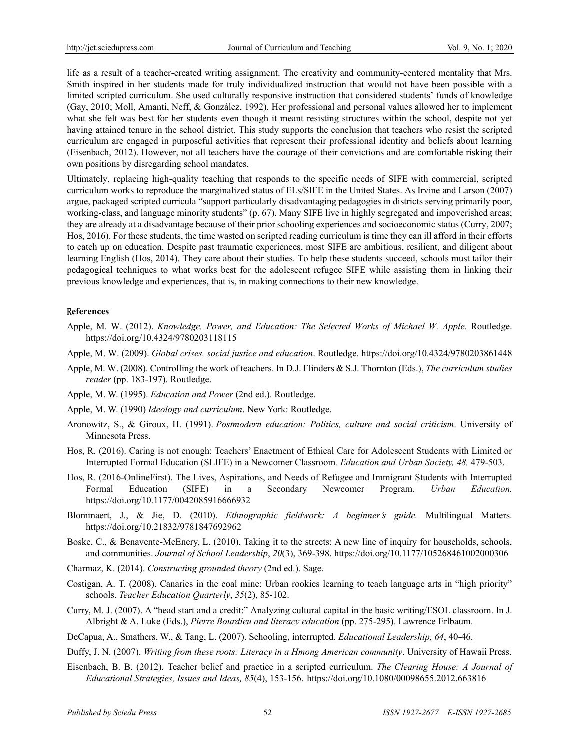life as a result of a teacher-created writing assignment. The creativity and community-centered mentality that Mrs. Smith inspired in her students made for truly individualized instruction that would not have been possible with a limited scripted curriculum. She used culturally responsive instruction that considered students' funds of knowledge (Gay, 2010; Moll, Amanti, Neff, & González, 1992). Her professional and personal values allowed her to implement what she felt was best for her students even though it meant resisting structures within the school, despite not yet having attained tenure in the school district. This study supports the conclusion that teachers who resist the scripted curriculum are engaged in purposeful activities that represent their professional identity and beliefs about learning (Eisenbach, 2012). However, not all teachers have the courage of their convictions and are comfortable risking their own positions by disregarding school mandates.

Ultimately, replacing high-quality teaching that responds to the specific needs of SIFE with commercial, scripted curriculum works to reproduce the marginalized status of ELs/SIFE in the United States. As Irvine and Larson (2007) argue, packaged scripted curricula "support particularly disadvantaging pedagogies in districts serving primarily poor, working-class, and language minority students" (p. 67). Many SIFE live in highly segregated and impoverished areas; they are already at a disadvantage because of their prior schooling experiences and socioeconomic status (Curry, 2007; Hos, 2016). For these students, the time wasted on scripted reading curriculum is time they can ill afford in their efforts to catch up on education. Despite past traumatic experiences, most SIFE are ambitious, resilient, and diligent about learning English (Hos, 2014). They care about their studies. To help these students succeed, schools must tailor their pedagogical techniques to what works best for the adolescent refugee SIFE while assisting them in linking their previous knowledge and experiences, that is, in making connections to their new knowledge.

# R**eferences**

- Apple, M. W. (2012). *Knowledge, Power, and Education: The Selected Works of Michael W. Apple.* Routledge. https://doi.org/10.4324/9780203118115
- Apple, M. W. (2009). *Global crises, social justice and education*. Routledge. https://doi.org/10.4324/9780203861448
- Apple, M. W. (2008). Controlling the work of teachers. In D.J. Flinders & S.J. Thornton (Eds.), *The curriculum studies reader* (pp. 183-197). Routledge.
- Apple, M. W. (1995). *Education and Power* (2nd ed.). Routledge.
- Apple, M. W. (1990) *Ideology and curriculum*. New York: Routledge.
- Aronowitz, S., & Giroux, H. (1991). *Postmodern education: Politics, culture and social criticism*. University of Minnesota Press.
- Hos, R. (2016). Caring is not enough: Teachers' Enactment of Ethical Care for Adolescent Students with Limited or Interrupted Formal Education (SLIFE) in a Newcomer Classroom*. Education and Urban Society, 48,* 479-503.
- Hos, R. (2016-OnlineFirst). The Lives, Aspirations, and Needs of Refugee and Immigrant Students with Interrupted Formal Education (SIFE) in a Secondary Newcomer Program. *Urban Education.*  https://doi.org/10.1177/0042085916666932
- Blommaert, J., & Jie, D. (2010). *Ethnographic fieldwork: A beginner's guide.* Multilingual Matters. https://doi.org/10.21832/9781847692962
- Boske, C., & Benavente-McEnery, L. (2010). Taking it to the streets: A new line of inquiry for households, schools, and communities. *Journal of School Leadership*, *20*(3), 369-398. https://doi.org/10.1177/105268461002000306
- Charmaz, K. (2014). *Constructing grounded theory* (2nd ed.). Sage.
- Costigan, A. T. (2008). Canaries in the coal mine: Urban rookies learning to teach language arts in "high priority" schools. *Teacher Education Quarterly*, *35*(2), 85-102.
- Curry, M. J. (2007). A "head start and a credit:" Analyzing cultural capital in the basic writing/ESOL classroom. In J. Albright & A. Luke (Eds.), *Pierre Bourdieu and literacy education* (pp. 275-295). Lawrence Erlbaum.
- DeCapua, A., Smathers, W., & Tang, L. (2007). Schooling, interrupted. *Educational Leadership, 64*, 40-46.
- Duffy, J. N. (2007). *Writing from these roots: Literacy in a Hmong American community*. University of Hawaii Press.
- Eisenbach, B. B. (2012). Teacher belief and practice in a scripted curriculum. *The Clearing House: A Journal of Educational Strategies, Issues and Ideas, 85*(4), 153-156. https://doi.org/10.1080/00098655.2012.663816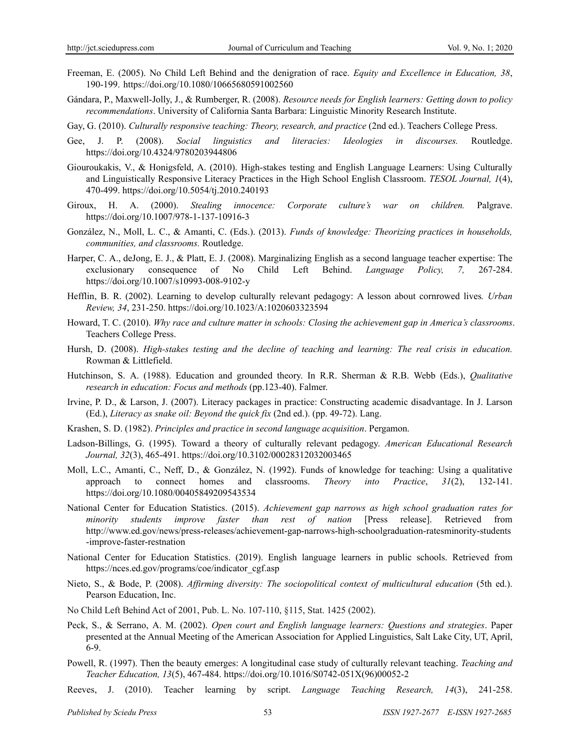- Freeman, E. (2005). No Child Left Behind and the denigration of race. *Equity and Excellence in Education, 38*, 190-199. https://doi.org/10.1080/10665680591002560
- Gándara, P., Maxwell-Jolly, J., & Rumberger, R. (2008). *Resource needs for English learners: Getting down to policy recommendations*. University of California Santa Barbara: Linguistic Minority Research Institute.
- Gay, G. (2010). *Culturally responsive teaching: Theory, research, and practice* (2nd ed.). Teachers College Press.
- Gee, J. P. (2008). *Social linguistics and literacies: Ideologies in discourses.* Routledge. https://doi.org/10.4324/9780203944806
- Giouroukakis, V., & Honigsfeld, A. (2010). High-stakes testing and English Language Learners: Using Culturally and Linguistically Responsive Literacy Practices in the High School English Classroom. *TESOL Journal, 1*(4), 470-499. https://doi.org/10.5054/tj.2010.240193
- Giroux, H. A. (2000). *Stealing innocence: Corporate culture's war on children.* Palgrave. https://doi.org/10.1007/978-1-137-10916-3
- González, N., Moll, L. C., & Amanti, C. (Eds.). (2013). *Funds of knowledge: Theorizing practices in households, communities, and classrooms.* Routledge.
- Harper, C. A., deJong, E. J., & Platt, E. J. (2008). Marginalizing English as a second language teacher expertise: The exclusionary consequence of No Child Left Behind. *Language Policy, 7,* 267-284. https://doi.org/10.1007/s10993-008-9102-y
- Hefflin, B. R. (2002). Learning to develop culturally relevant pedagogy: A lesson about cornrowed lives*. Urban Review, 34*, 231-250. https://doi.org/10.1023/A:1020603323594
- Howard, T. C. (2010). *Why race and culture matter in schools: Closing the achievement gap in America's classrooms*. Teachers College Press.
- Hursh, D. (2008). *High-stakes testing and the decline of teaching and learning: The real crisis in education.* Rowman & Littlefield.
- Hutchinson, S. A. (1988). Education and grounded theory. In R.R. Sherman & R.B. Webb (Eds.), *Qualitative research in education: Focus and methods* (pp.123-40). Falmer.
- Irvine, P. D., & Larson, J. (2007). Literacy packages in practice: Constructing academic disadvantage. In J. Larson (Ed.), *Literacy as snake oil: Beyond the quick fix* (2nd ed.). (pp. 49-72). Lang.
- Krashen, S. D. (1982). *Principles and practice in second language acquisition*. Pergamon.
- Ladson-Billings, G. (1995). Toward a theory of culturally relevant pedagogy. *American Educational Research Journal, 32*(3), 465-491. https://doi.org/10.3102/00028312032003465
- Moll, L.C., Amanti, C., Neff, D., & González, N. (1992). Funds of knowledge for teaching: Using a qualitative approach to connect homes and classrooms. *Theory into Practice*, *31*(2), 132-141. https://doi.org/10.1080/00405849209543534
- National Center for Education Statistics. (2015). *Achievement gap narrows as high school graduation rates for minority students improve faster than rest of nation* [Press release]. Retrieved from http://www.ed.gov/news/press-releases/achievement-gap-narrows-high-schoolgraduation-ratesminority-students -improve-faster-restnation
- National Center for Education Statistics. (2019). English language learners in public schools. Retrieved from https://nces.ed.gov/programs/coe/indicator\_cgf.asp
- Nieto, S., & Bode, P. (2008). *Affirming diversity: The sociopolitical context of multicultural education* (5th ed.). Pearson Education, Inc.
- No Child Left Behind Act of 2001, Pub. L. No. 107-110, §115, Stat. 1425 (2002).
- Peck, S., & Serrano, A. M. (2002). *Open court and English language learners: Questions and strategies*. Paper presented at the Annual Meeting of the American Association for Applied Linguistics, Salt Lake City, UT, April, 6-9.
- Powell, R. (1997). Then the beauty emerges: A longitudinal case study of culturally relevant teaching. *Teaching and Teacher Education, 13*(5), 467-484. https://doi.org/10.1016/S0742-051X(96)00052-2
- Reeves, J. (2010). Teacher learning by script. *Language Teaching Research, 14*(3), 241-258.